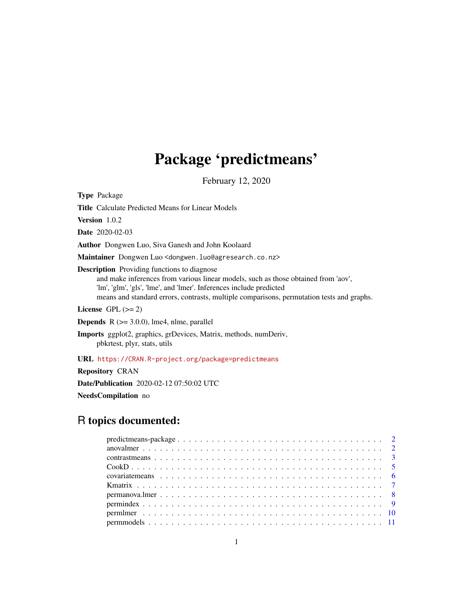## Package 'predictmeans'

February 12, 2020

Type Package

Title Calculate Predicted Means for Linear Models

Version 1.0.2

Date 2020-02-03

Author Dongwen Luo, Siva Ganesh and John Koolaard

Maintainer Dongwen Luo <dongwen.luo@agresearch.co.nz>

Description Providing functions to diagnose

and make inferences from various linear models, such as those obtained from 'aov', 'lm', 'glm', 'gls', 'lme', and 'lmer'. Inferences include predicted means and standard errors, contrasts, multiple comparisons, permutation tests and graphs.

License GPL  $(>= 2)$ 

**Depends**  $R$  ( $>= 3.0.0$ ), lme4, nlme, parallel

Imports ggplot2, graphics, grDevices, Matrix, methods, numDeriv, pbkrtest, plyr, stats, utils

URL <https://CRAN.R-project.org/package=predictmeans>

Repository CRAN

Date/Publication 2020-02-12 07:50:02 UTC

NeedsCompilation no

## R topics documented: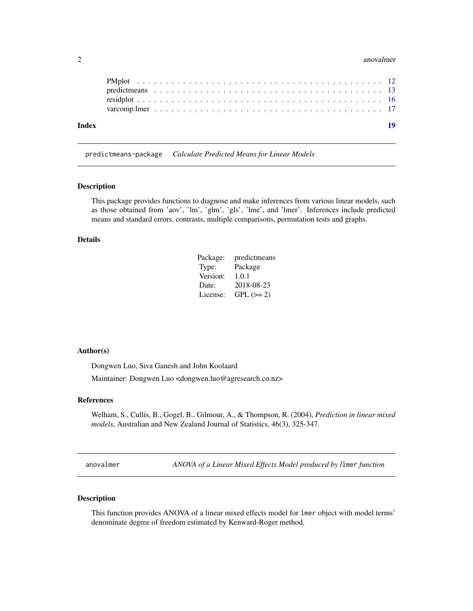#### <span id="page-1-0"></span>2 anovalmer and  $\alpha$  and  $\alpha$  and  $\alpha$  and  $\alpha$  anovalmer and  $\alpha$  anovalmer and  $\alpha$  anovalmer

| Index |  |  |  |  |  |  |  |  |  |  |  |  |  |  |  |  |  | 19 |
|-------|--|--|--|--|--|--|--|--|--|--|--|--|--|--|--|--|--|----|
|       |  |  |  |  |  |  |  |  |  |  |  |  |  |  |  |  |  |    |
|       |  |  |  |  |  |  |  |  |  |  |  |  |  |  |  |  |  |    |
|       |  |  |  |  |  |  |  |  |  |  |  |  |  |  |  |  |  |    |
|       |  |  |  |  |  |  |  |  |  |  |  |  |  |  |  |  |  |    |

predictmeans-package *Calculate Predicted Means for Linear Models*

#### Description

This package provides functions to diagnose and make inferences from various linear models, such as those obtained from 'aov', 'lm', 'glm', 'gls', 'lme', and 'lmer'. Inferences include predicted means and standard errors, contrasts, multiple comparisons, permutation tests and graphs.

#### Details

| Package: | predictmeans |
|----------|--------------|
| Type:    | Package      |
| Version: | 1.0.1        |
| Date:    | 2018-08-23   |
| License: | $GPL (=2)$   |

#### Author(s)

Dongwen Luo, Siva Ganesh and John Koolaard

Maintainer: Dongwen Luo <dongwen.luo@agresearch.co.nz>

## References

Welham, S., Cullis, B., Gogel, B., Gilmour, A., & Thompson, R. (2004), *Prediction in linear mixed models*, Australian and New Zealand Journal of Statistics, 46(3), 325-347.

anovalmer *ANOVA of a Linear Mixed Effects Model produced by l*lmer *function*

#### Description

This function provides ANOVA of a linear mixed effects model for lmer object with model terms' denominate degree of freedom estimated by Kenward-Roger method.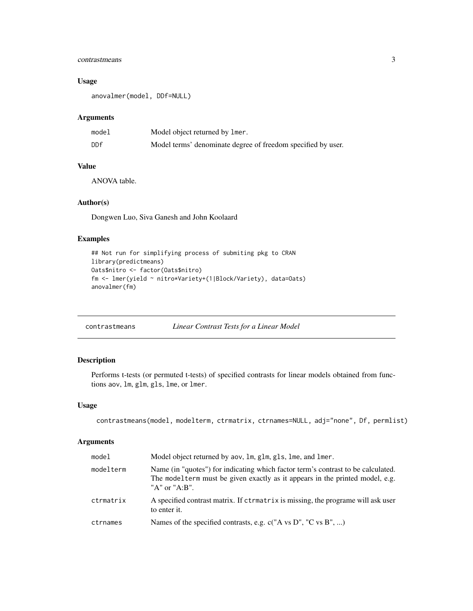## <span id="page-2-0"></span>contrastmeans 3

## Usage

```
anovalmer(model, DDf=NULL)
```
## Arguments

| model | Model object returned by lmer.                               |
|-------|--------------------------------------------------------------|
| DDf   | Model terms' denominate degree of freedom specified by user. |

## Value

ANOVA table.

## Author(s)

Dongwen Luo, Siva Ganesh and John Koolaard

## Examples

```
## Not run for simplifying process of submiting pkg to CRAN
library(predictmeans)
Oats$nitro <- factor(Oats$nitro)
fm <- lmer(yield ~ nitro*Variety+(1|Block/Variety), data=Oats)
anovalmer(fm)
```
contrastmeans *Linear Contrast Tests for a Linear Model*

## Description

Performs t-tests (or permuted t-tests) of specified contrasts for linear models obtained from functions aov, lm, glm, gls, lme, or lmer.

## Usage

```
contrastmeans(model, modelterm, ctrmatrix, ctrnames=NULL, adj="none", Df, permlist)
```

| model     | Model object returned by aov, 1m, g1m, g1s, 1me, and 1mer.                                                                                                                                     |
|-----------|------------------------------------------------------------------------------------------------------------------------------------------------------------------------------------------------|
| modelterm | Name (in "quotes") for indicating which factor term's contrast to be calculated.<br>The model term must be given exactly as it appears in the printed model, e.g.<br>" $A$ " or " $A$ : $B$ ". |
| ctrmatrix | A specified contrast matrix. If ctrmatrix is missing, the programe will ask user<br>to enter it.                                                                                               |
| ctrnames  | Names of the specified contrasts, e.g. c("A vs D", "C vs B", )                                                                                                                                 |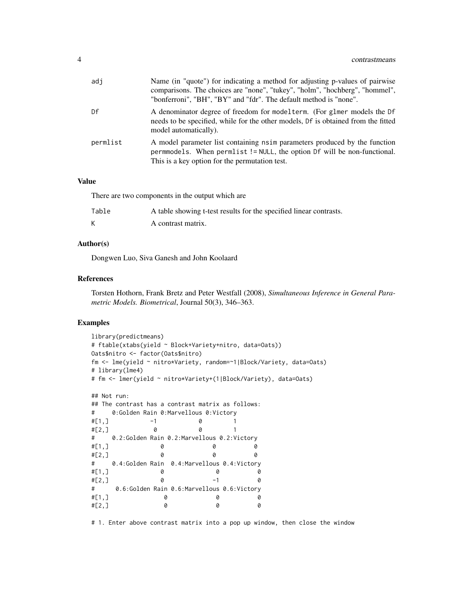| adj      | Name (in "quote") for indicating a method for adjusting p-values of pairwise<br>comparisons. The choices are "none", "tukey", "holm", "hochberg", "hommel",<br>"bonferroni", "BH", "BY" and "fdr". The default method is "none". |
|----------|----------------------------------------------------------------------------------------------------------------------------------------------------------------------------------------------------------------------------------|
| Df       | A denominator degree of freedom for modelterm. (For glmer models the Df<br>needs to be specified, while for the other models, Df is obtained from the fitted<br>model automatically).                                            |
| permlist | A model parameter list containing nsimparameters produced by the function<br>permmodels. When permlist != NULL, the option Df will be non-functional.<br>This is a key option for the permutation test.                          |

There are two components in the output which are

| Table | A table showing t-test results for the specified linear contrasts. |
|-------|--------------------------------------------------------------------|
|       | A contrast matrix.                                                 |

#### Author(s)

Dongwen Luo, Siva Ganesh and John Koolaard

#### References

Torsten Hothorn, Frank Bretz and Peter Westfall (2008), *Simultaneous Inference in General Parametric Models. Biometrical*, Journal 50(3), 346–363.

## Examples

```
library(predictmeans)
# ftable(xtabs(yield ~ Block+Variety+nitro, data=Oats))
Oats$nitro <- factor(Oats$nitro)
fm <- lme(yield ~ nitro*Variety, random=~1|Block/Variety, data=Oats)
# library(lme4)
# fm <- lmer(yield ~ nitro*Variety+(1|Block/Variety), data=Oats)
## Not run:
## The contrast has a contrast matrix as follows:
# 0:Golden Rain 0:Marvellous 0:Victory
#[1,] -1 0 1
#[2,] 0 0 1
# 0.2:Golden Rain 0.2:Marvellous 0.2:Victory
#[1,] 0 0 0
#[2,] 0 0 0
# 0.4:Golden Rain 0.4:Marvellous 0.4:Victory
#[1,] 0 0 0
#[2, 1 0 -1 0
# 0.6:Golden Rain 0.6:Marvellous 0.6:Victory
#[1,] 0 0 0
#[2,] 0 0 0
```
# 1. Enter above contrast matrix into a pop up window, then close the window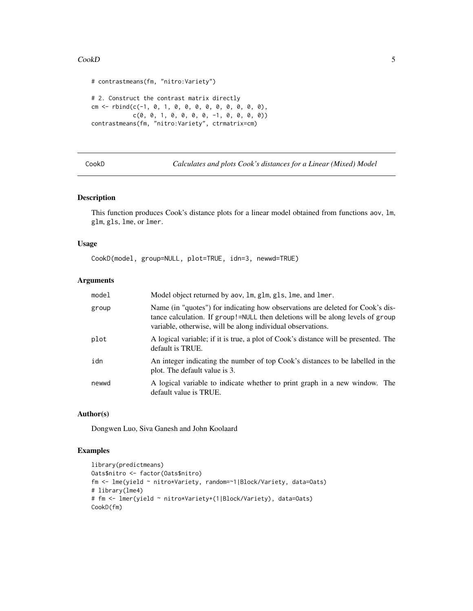#### <span id="page-4-0"></span> $\mathbf{CookD}$  5

```
# contrastmeans(fm, "nitro:Variety")
# 2. Construct the contrast matrix directly
cm <- rbind(c(-1, 0, 1, 0, 0, 0, 0, 0, 0, 0, 0, 0),
            c(0, 0, 1, 0, 0, 0, 0, -1, 0, 0, 0, 0))contrastmeans(fm, "nitro:Variety", ctrmatrix=cm)
```
CookD *Calculates and plots Cook's distances for a Linear (Mixed) Model*

#### Description

This function produces Cook's distance plots for a linear model obtained from functions aov, lm, glm, gls, lme, or lmer.

#### Usage

```
CookD(model, group=NULL, plot=TRUE, idn=3, newwd=TRUE)
```
## Arguments

| model | Model object returned by aov, 1m, g1m, g1s, 1me, and 1mer.                                                                                                                                                                      |
|-------|---------------------------------------------------------------------------------------------------------------------------------------------------------------------------------------------------------------------------------|
| group | Name (in "quotes") for indicating how observations are deleted for Cook's dis-<br>tance calculation. If group!=NULL then deletions will be along levels of group<br>variable, otherwise, will be along individual observations. |
| plot  | A logical variable; if it is true, a plot of Cook's distance will be presented. The<br>default is TRUE.                                                                                                                         |
| idn   | An integer indicating the number of top Cook's distances to be labelled in the<br>plot. The default value is 3.                                                                                                                 |
| newwd | A logical variable to indicate whether to print graph in a new window. The<br>default value is TRUE.                                                                                                                            |

## Author(s)

Dongwen Luo, Siva Ganesh and John Koolaard

## Examples

```
library(predictmeans)
Oats$nitro <- factor(Oats$nitro)
fm <- lme(yield ~ nitro*Variety, random=~1|Block/Variety, data=Oats)
# library(lme4)
# fm <- lmer(yield ~ nitro*Variety+(1|Block/Variety), data=Oats)
CookD(fm)
```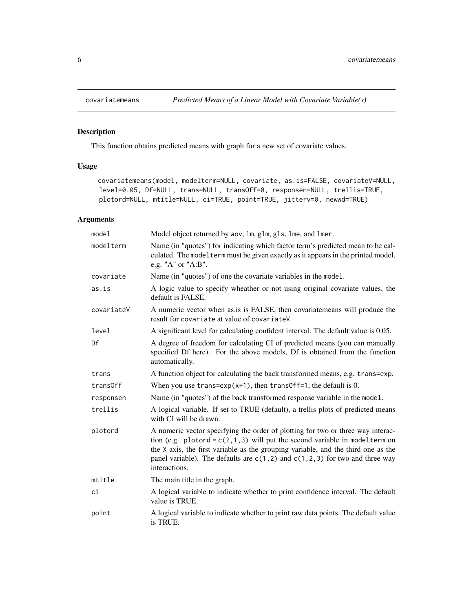<span id="page-5-0"></span>

## Description

This function obtains predicted means with graph for a new set of covariate values.

## Usage

```
covariatemeans(model, modelterm=NULL, covariate, as.is=FALSE, covariateV=NULL,
level=0.05, Df=NULL, trans=NULL, transOff=0, responsen=NULL, trellis=TRUE,
plotord=NULL, mtitle=NULL, ci=TRUE, point=TRUE, jitterv=0, newwd=TRUE)
```

| model      | Model object returned by aov, lm, glm, gls, lme, and lmer.                                                                                                                                                                                                                                                                                               |
|------------|----------------------------------------------------------------------------------------------------------------------------------------------------------------------------------------------------------------------------------------------------------------------------------------------------------------------------------------------------------|
| modelterm  | Name (in "quotes") for indicating which factor term's predicted mean to be cal-<br>culated. The model term must be given exactly as it appears in the printed model,<br>e.g. "A" or "A:B".                                                                                                                                                               |
| covariate  | Name (in "quotes") of one the covariate variables in the model.                                                                                                                                                                                                                                                                                          |
| as.is      | A logic value to specify wheather or not using original covariate values, the<br>default is FALSE.                                                                                                                                                                                                                                                       |
| covariateV | A numeric vector when as is FALSE, then covariate means will produce the<br>result for covariate at value of covariateV.                                                                                                                                                                                                                                 |
| level      | A significant level for calculating confident interval. The default value is 0.05.                                                                                                                                                                                                                                                                       |
| Df         | A degree of freedom for calculating CI of predicted means (you can manually<br>specified Df here). For the above models, Df is obtained from the function<br>automatically.                                                                                                                                                                              |
| trans      | A function object for calculating the back transformed means, e.g. trans=exp.                                                                                                                                                                                                                                                                            |
| trans0ff   | When you use trans= $exp(x+1)$ , then trans0ff=1, the default is 0.                                                                                                                                                                                                                                                                                      |
| responsen  | Name (in "quotes") of the back transformed response variable in the model.                                                                                                                                                                                                                                                                               |
| trellis    | A logical variable. If set to TRUE (default), a trellis plots of predicted means<br>with CI will be drawn.                                                                                                                                                                                                                                               |
| plotord    | A numeric vector specifying the order of plotting for two or three way interac-<br>tion (e.g. plotord = $c(2,1,3)$ will put the second variable in modelterm on<br>the X axis, the first variable as the grouping variable, and the third one as the<br>panel variable). The defaults are $c(1,2)$ and $c(1,2,3)$ for two and three way<br>interactions. |
| mtitle     | The main title in the graph.                                                                                                                                                                                                                                                                                                                             |
| ci         | A logical variable to indicate whether to print confidence interval. The default<br>value is TRUE.                                                                                                                                                                                                                                                       |
| point      | A logical variable to indicate whether to print raw data points. The default value<br>is TRUE.                                                                                                                                                                                                                                                           |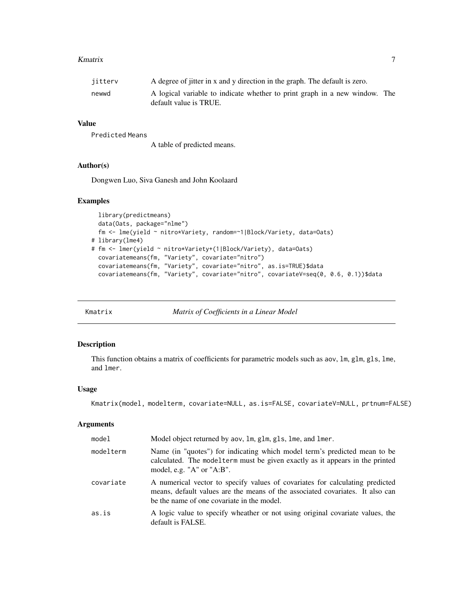#### <span id="page-6-0"></span>Kmatrix 2008 and 2008 and 2008 and 2008 and 2008 and 2008 and 2008 and 2008 and 2008 and 2008 and 2008 and 200

| jitterv | A degree of jitter in x and y direction in the graph. The default is zero.                           |  |
|---------|------------------------------------------------------------------------------------------------------|--|
| newwd   | A logical variable to indicate whether to print graph in a new window. The<br>default value is TRUE. |  |

## Value

Predicted Means

A table of predicted means.

## Author(s)

Dongwen Luo, Siva Ganesh and John Koolaard

#### Examples

```
library(predictmeans)
 data(Oats, package="nlme")
 fm <- lme(yield ~ nitro*Variety, random=~1|Block/Variety, data=Oats)
# library(lme4)
# fm <- lmer(yield ~ nitro*Variety+(1|Block/Variety), data=Oats)
 covariatemeans(fm, "Variety", covariate="nitro")
 covariatemeans(fm, "Variety", covariate="nitro", as.is=TRUE)$data
 covariatemeans(fm, "Variety", covariate="nitro", covariateV=seq(0, 0.6, 0.1))$data
```
Kmatrix *Matrix of Coefficients in a Linear Model*

## Description

This function obtains a matrix of coefficients for parametric models such as aov, lm, glm, gls, lme, and lmer.

#### Usage

```
Kmatrix(model, modelterm, covariate=NULL, as.is=FALSE, covariateV=NULL, prtnum=FALSE)
```

| model     | Model object returned by aov, 1m, g1m, g1s, 1me, and 1mer.                                                                                                                                                  |
|-----------|-------------------------------------------------------------------------------------------------------------------------------------------------------------------------------------------------------------|
| modelterm | Name (in "quotes") for indicating which model term's predicted mean to be<br>calculated. The model term must be given exactly as it appears in the printed<br>model, e.g. " $A$ " or " $A:B$ ".             |
| covariate | A numerical vector to specify values of covariates for calculating predicted<br>means, default values are the means of the associated covariates. It also can<br>be the name of one covariate in the model. |
| as.is     | A logic value to specify wheather or not using original covariate values, the<br>default is FALSE.                                                                                                          |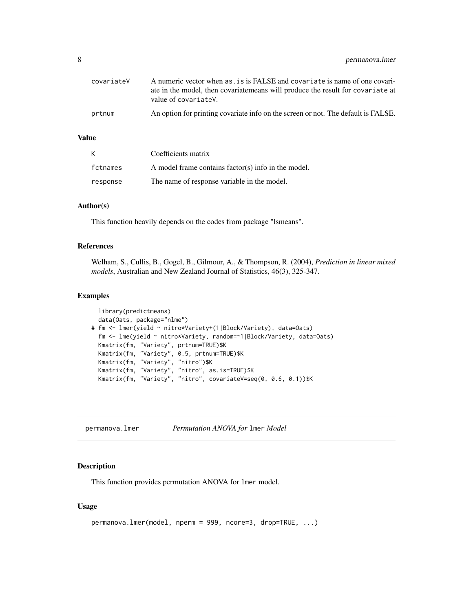<span id="page-7-0"></span>

| covariateV | A numeric vector when as, is is FALSE and covariate is name of one covari-<br>ate in the model, then covariate means will produce the result for covariate at<br>value of covariateV. |
|------------|---------------------------------------------------------------------------------------------------------------------------------------------------------------------------------------|
| prtnum     | An option for printing covariate info on the screen or not. The default is FALSE.                                                                                                     |

| K        | Coefficients matrix                                 |
|----------|-----------------------------------------------------|
| fctnames | A model frame contains factor(s) info in the model. |
| response | The name of response variable in the model.         |

## Author(s)

This function heavily depends on the codes from package "lsmeans".

#### References

Welham, S., Cullis, B., Gogel, B., Gilmour, A., & Thompson, R. (2004), *Prediction in linear mixed models*, Australian and New Zealand Journal of Statistics, 46(3), 325-347.

#### Examples

```
library(predictmeans)
 data(Oats, package="nlme")
# fm <- lmer(yield ~ nitro*Variety+(1|Block/Variety), data=Oats)
 fm <- lme(yield ~ nitro*Variety, random=~1|Block/Variety, data=Oats)
 Kmatrix(fm, "Variety", prtnum=TRUE)$K
  Kmatrix(fm, "Variety", 0.5, prtnum=TRUE)$K
  Kmatrix(fm, "Variety", "nitro")$K
  Kmatrix(fm, "Variety", "nitro", as.is=TRUE)$K
  Kmatrix(fm, "Variety", "nitro", covariateV=seq(0, 0.6, 0.1))$K
```
permanova.lmer *Permutation ANOVA for* lmer *Model*

## Description

This function provides permutation ANOVA for lmer model.

#### Usage

```
permanova.lmer(model, nperm = 999, ncore=3, drop=TRUE, ...)
```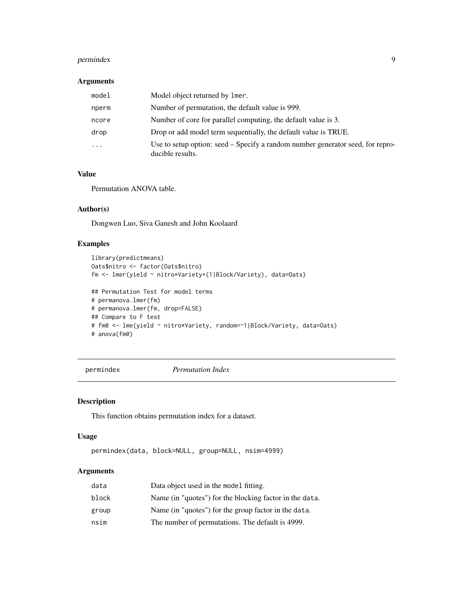## <span id="page-8-0"></span>permindex 9

## Arguments

| model                   | Model object returned by lmer.                                                                     |
|-------------------------|----------------------------------------------------------------------------------------------------|
| nperm                   | Number of permutation, the default value is 999.                                                   |
| ncore                   | Number of core for parallel computing, the default value is 3.                                     |
| drop                    | Drop or add model term sequentially, the default value is TRUE.                                    |
| $\cdot$ $\cdot$ $\cdot$ | Use to setup option: seed – Specify a random number generator seed, for repro-<br>ducible results. |

## Value

Permutation ANOVA table.

## Author(s)

Dongwen Luo, Siva Ganesh and John Koolaard

#### Examples

```
library(predictmeans)
Oats$nitro <- factor(Oats$nitro)
fm <- lmer(yield ~ nitro*Variety+(1|Block/Variety), data=Oats)
## Permutation Test for model terms
# permanova.lmer(fm)
# permanova.lmer(fm, drop=FALSE)
## Compare to F test
# fm0 <- lme(yield ~ nitro*Variety, random=~1|Block/Variety, data=Oats)
# anova(fm0)
```
permindex *Permutation Index*

## Description

This function obtains permutation index for a dataset.

#### Usage

```
permindex(data, block=NULL, group=NULL, nsim=4999)
```

| data  | Data object used in the model fitting.                  |
|-------|---------------------------------------------------------|
| block | Name (in "quotes") for the blocking factor in the data. |
| group | Name (in "quotes") for the group factor in the data.    |
| nsim  | The number of permutations. The default is 4999.        |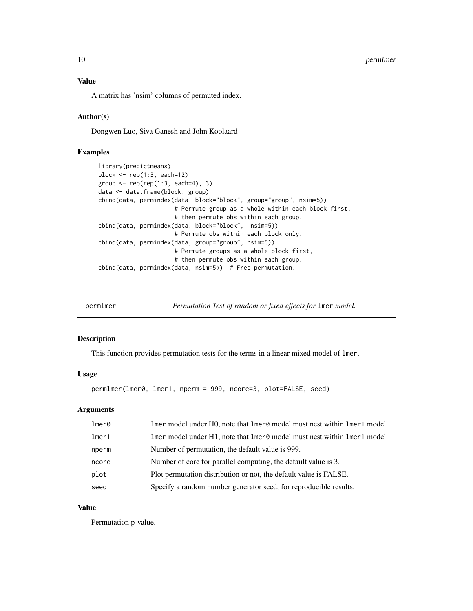<span id="page-9-0"></span>A matrix has 'nsim' columns of permuted index.

## Author(s)

Dongwen Luo, Siva Ganesh and John Koolaard

## Examples

```
library(predictmeans)
block <- rep(1:3, each=12)
group \leq rep(rep(1:3, each=4), 3)
data <- data.frame(block, group)
cbind(data, permindex(data, block="block", group="group", nsim=5))
                      # Permute group as a whole within each block first,
                      # then permute obs within each group.
cbind(data, permindex(data, block="block", nsim=5))
                      # Permute obs within each block only.
cbind(data, permindex(data, group="group", nsim=5))
                      # Permute groups as a whole block first,
                      # then permute obs within each group.
cbind(data, permindex(data, nsim=5)) # Free permutation.
```
permlmer *Permutation Test of random or fixed effects for* lmer *model.*

#### Description

This function provides permutation tests for the terms in a linear mixed model of lmer.

#### Usage

permlmer(lmer0, lmer1, nperm = 999, ncore=3, plot=FALSE, seed)

#### Arguments

| $l$ mer $\theta$ | lmer model under H0, note that lmer0 model must nest within lmer1 model. |
|------------------|--------------------------------------------------------------------------|
| $l$ mer1         | lmer model under H1, note that lmer0 model must nest within lmer1 model. |
| nperm            | Number of permutation, the default value is 999.                         |
| ncore            | Number of core for parallel computing, the default value is 3.           |
| plot             | Plot permutation distribution or not, the default value is FALSE.        |
| seed             | Specify a random number generator seed, for reproducible results.        |

## Value

Permutation p-value.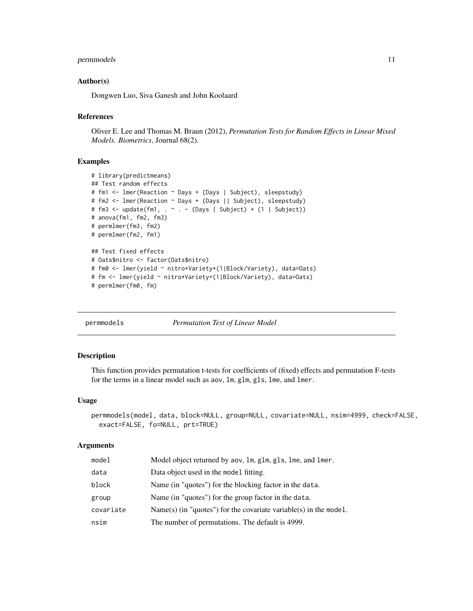## <span id="page-10-0"></span>permmodels and the set of the set of the set of the set of the set of the set of the set of the set of the set of the set of the set of the set of the set of the set of the set of the set of the set of the set of the set o

#### Author(s)

Dongwen Luo, Siva Ganesh and John Koolaard

#### References

Oliver E. Lee and Thomas M. Braun (2012), *Permutation Tests for Random Effects in Linear Mixed Models. Biometrics*, Journal 68(2).

## Examples

```
# library(predictmeans)
## Test random effects
# fm1 <- lmer(Reaction ~ Days + (Days | Subject), sleepstudy)
# fm2 <- lmer(Reaction ~ Days + (Days || Subject), sleepstudy)
# fm3 <- update(fm1, . ~ . - (Days | Subject) + (1 | Subject))
# anova(fm1, fm2, fm3)
# permlmer(fm3, fm2)
# permlmer(fm2, fm1)
## Test fixed effects
# Oats$nitro <- factor(Oats$nitro)
# fm0 <- lmer(yield ~ nitro+Variety+(1|Block/Variety), data=Oats)
# fm <- lmer(yield ~ nitro*Variety+(1|Block/Variety), data=Oats)
# permlmer(fm0, fm)
```

```
permmodels Permutation Test of Linear Model
```
## Description

This function provides permutation t-tests for coefficients of (fixed) effects and permutation F-tests for the terms in a linear model such as aov, lm, glm, gls, lme, and lmer.

#### Usage

```
permmodels(model, data, block=NULL, group=NULL, covariate=NULL, nsim=4999, check=FALSE,
  exact=FALSE, fo=NULL, prt=TRUE)
```

| model     | Model object returned by aov, 1m, g1m, g1s, 1me, and 1mer.          |
|-----------|---------------------------------------------------------------------|
| data      | Data object used in the model fitting.                              |
| block     | Name (in "quotes") for the blocking factor in the data.             |
| group     | Name (in "quotes") for the group factor in the data.                |
| covariate | $Name(s)$ (in "quotes") for the covariate variable(s) in the model. |
| nsim      | The number of permutations. The default is 4999.                    |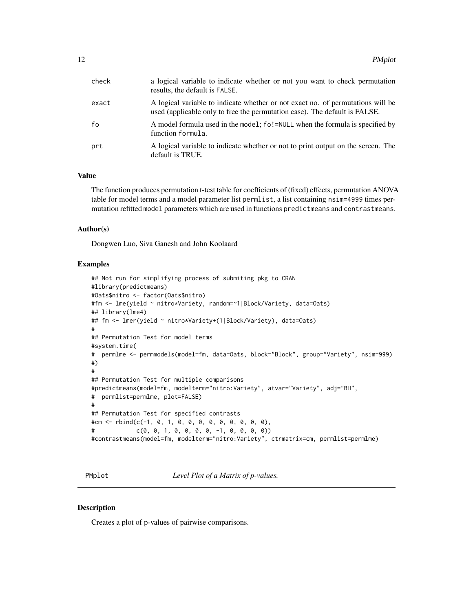<span id="page-11-0"></span>

| check | a logical variable to indicate whether or not you want to check permutation<br>results, the default is FALSE.                                                 |
|-------|---------------------------------------------------------------------------------------------------------------------------------------------------------------|
| exact | A logical variable to indicate whether or not exact no. of permutations will be<br>used (applicable only to free the permutation case). The default is FALSE. |
| fo    | A model formula used in the model; fo!=NULL when the formula is specified by<br>function formula.                                                             |
| prt   | A logical variable to indicate whether or not to print output on the screen. The<br>default is TRUE.                                                          |

The function produces permutation t-test table for coefficients of (fixed) effects, permutation ANOVA table for model terms and a model parameter list permlist, a list containing nsim=4999 times permutation refitted model parameters which are used in functions predictmeans and contrastmeans.

#### Author(s)

Dongwen Luo, Siva Ganesh and John Koolaard

#### Examples

```
## Not run for simplifying process of submiting pkg to CRAN
#library(predictmeans)
#Oats$nitro <- factor(Oats$nitro)
#fm <- lme(yield ~ nitro*Variety, random=~1|Block/Variety, data=Oats)
## library(lme4)
## fm <- lmer(yield ~ nitro*Variety+(1|Block/Variety), data=Oats)
#
## Permutation Test for model terms
#system.time(
# permlme <- permmodels(model=fm, data=Oats, block="Block", group="Variety", nsim=999)
#)
#
## Permutation Test for multiple comparisons
#predictmeans(model=fm, modelterm="nitro:Variety", atvar="Variety", adj="BH",
# permlist=permlme, plot=FALSE)
#
## Permutation Test for specified contrasts
#cm <- rbind(c(-1, 0, 1, 0, 0, 0, 0, 0, 0, 0, 0, 0),
# c(0, 0, 1, 0, 0, 0, 0, -1, 0, 0, 0, 0))
#contrastmeans(model=fm, modelterm="nitro:Variety", ctrmatrix=cm, permlist=permlme)
```
PMplot *Level Plot of a Matrix of p-values.*

#### **Description**

Creates a plot of p-values of pairwise comparisons.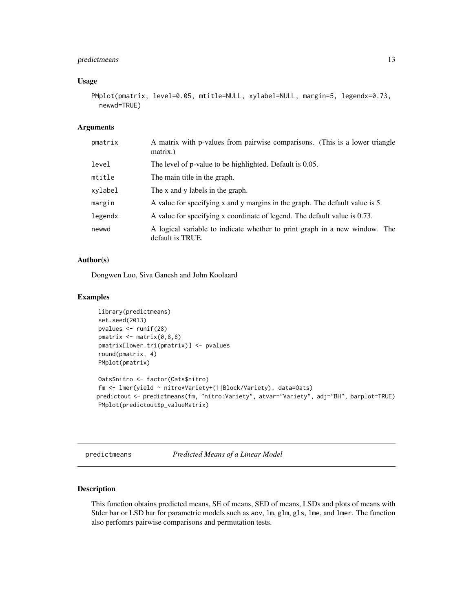## <span id="page-12-0"></span>predictmeans 13

#### Usage

```
PMplot(pmatrix, level=0.05, mtitle=NULL, xylabel=NULL, margin=5, legendx=0.73,
  newwd=TRUE)
```
## Arguments

| pmatrix | A matrix with p-values from pairwise comparisons. (This is a lower triangle<br>matrix.)        |  |  |  |
|---------|------------------------------------------------------------------------------------------------|--|--|--|
| level   | The level of p-value to be highlighted. Default is 0.05.                                       |  |  |  |
| mtitle  | The main title in the graph.                                                                   |  |  |  |
| xylabel | The x and y labels in the graph.                                                               |  |  |  |
| margin  | A value for specifying x and y margins in the graph. The default value is 5.                   |  |  |  |
| legendx | A value for specifying x coordinate of legend. The default value is 0.73.                      |  |  |  |
| newwd   | A logical variable to indicate whether to print graph in a new window. The<br>default is TRUE. |  |  |  |

#### Author(s)

Dongwen Luo, Siva Ganesh and John Koolaard

## Examples

```
library(predictmeans)
set.seed(2013)
pvalues <- runif(28)
pmatrix <- matrix(0,8,8)
pmatrix[lower.tri(pmatrix)] <- pvalues
round(pmatrix, 4)
PMplot(pmatrix)
Oats$nitro <- factor(Oats$nitro)
fm <- lmer(yield ~ nitro*Variety+(1|Block/Variety), data=Oats)
predictout <- predictmeans(fm, "nitro:Variety", atvar="Variety", adj="BH", barplot=TRUE)
PMplot(predictout$p_valueMatrix)
```

```
predictmeans Predicted Means of a Linear Model
```
## Description

This function obtains predicted means, SE of means, SED of means, LSDs and plots of means with Stder bar or LSD bar for parametric models such as aov, lm, glm, gls, lme, and lmer. The function also perfomrs pairwise comparisons and permutation tests.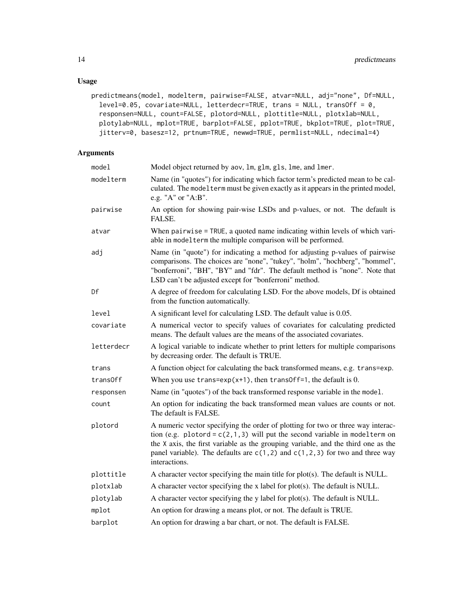## Usage

```
predictmeans(model, modelterm, pairwise=FALSE, atvar=NULL, adj="none", Df=NULL,
  level=0.05, covariate=NULL, letterdecr=TRUE, trans = NULL, transOff = 0,
  responsen=NULL, count=FALSE, plotord=NULL, plottitle=NULL, plotxlab=NULL,
 plotylab=NULL, mplot=TRUE, barplot=FALSE, pplot=TRUE, bkplot=TRUE, plot=TRUE,
  jitterv=0, basesz=12, prtnum=TRUE, newwd=TRUE, permlist=NULL, ndecimal=4)
```

| model      | Model object returned by aov, 1m, g1m, g1s, 1me, and 1mer.                                                                                                                                                                                                                                                                                               |  |  |  |
|------------|----------------------------------------------------------------------------------------------------------------------------------------------------------------------------------------------------------------------------------------------------------------------------------------------------------------------------------------------------------|--|--|--|
| modelterm  | Name (in "quotes") for indicating which factor term's predicted mean to be cal-<br>culated. The model term must be given exactly as it appears in the printed model,<br>e.g. "A" or "A:B".                                                                                                                                                               |  |  |  |
| pairwise   | An option for showing pair-wise LSDs and p-values, or not. The default is<br>FALSE.                                                                                                                                                                                                                                                                      |  |  |  |
| atvar      | When pairwise = TRUE, a quoted name indicating within levels of which vari-<br>able in model term the multiple comparison will be performed.                                                                                                                                                                                                             |  |  |  |
| adj        | Name (in "quote") for indicating a method for adjusting p-values of pairwise<br>comparisons. The choices are "none", "tukey", "holm", "hochberg", "hommel",<br>"bonferroni", "BH", "BY" and "fdr". The default method is "none". Note that<br>LSD can't be adjusted except for "bonferroni" method.                                                      |  |  |  |
| Df         | A degree of freedom for calculating LSD. For the above models, Df is obtained<br>from the function automatically.                                                                                                                                                                                                                                        |  |  |  |
| level      | A significant level for calculating LSD. The default value is 0.05.                                                                                                                                                                                                                                                                                      |  |  |  |
| covariate  | A numerical vector to specify values of covariates for calculating predicted<br>means. The default values are the means of the associated covariates.                                                                                                                                                                                                    |  |  |  |
| letterdecr | A logical variable to indicate whether to print letters for multiple comparisons<br>by decreasing order. The default is TRUE.                                                                                                                                                                                                                            |  |  |  |
| trans      | A function object for calculating the back transformed means, e.g. trans=exp.                                                                                                                                                                                                                                                                            |  |  |  |
| trans0ff   | When you use $trans=exp(x+1)$ , then $transOff=1$ , the default is 0.                                                                                                                                                                                                                                                                                    |  |  |  |
| responsen  | Name (in "quotes") of the back transformed response variable in the model.                                                                                                                                                                                                                                                                               |  |  |  |
| count      | An option for indicating the back transformed mean values are counts or not.<br>The default is FALSE.                                                                                                                                                                                                                                                    |  |  |  |
| plotord    | A numeric vector specifying the order of plotting for two or three way interac-<br>tion (e.g. plotord = $c(2,1,3)$ will put the second variable in modelterm on<br>the X axis, the first variable as the grouping variable, and the third one as the<br>panel variable). The defaults are $c(1,2)$ and $c(1,2,3)$ for two and three way<br>interactions. |  |  |  |
| plottitle  | A character vector specifying the main title for plot(s). The default is NULL.                                                                                                                                                                                                                                                                           |  |  |  |
| plotxlab   | A character vector specifying the x label for plot(s). The default is NULL.                                                                                                                                                                                                                                                                              |  |  |  |
| plotylab   | A character vector specifying the y label for plot(s). The default is NULL.                                                                                                                                                                                                                                                                              |  |  |  |
| mplot      | An option for drawing a means plot, or not. The default is TRUE.                                                                                                                                                                                                                                                                                         |  |  |  |
| barplot    | An option for drawing a bar chart, or not. The default is FALSE.                                                                                                                                                                                                                                                                                         |  |  |  |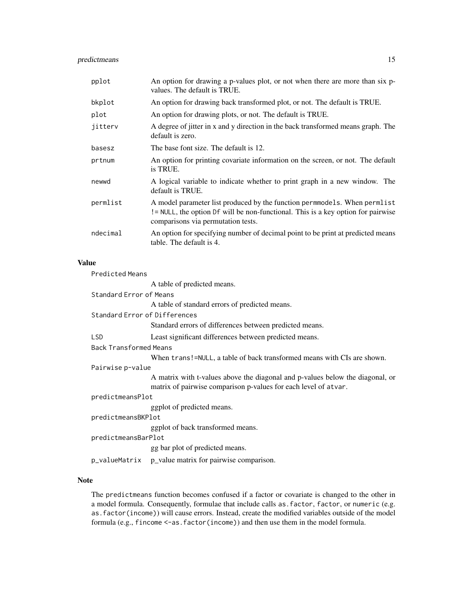## predictmeans 15

| pplot    | An option for drawing a p-values plot, or not when there are more than six p-<br>values. The default is TRUE.                                                                                        |
|----------|------------------------------------------------------------------------------------------------------------------------------------------------------------------------------------------------------|
| bkplot   | An option for drawing back transformed plot, or not. The default is TRUE.                                                                                                                            |
| plot     | An option for drawing plots, or not. The default is TRUE.                                                                                                                                            |
| jitterv  | A degree of jitter in x and y direction in the back transformed means graph. The<br>default is zero.                                                                                                 |
| basesz   | The base font size. The default is 12.                                                                                                                                                               |
| prtnum   | An option for printing covariate information on the screen, or not. The default<br>is TRUE.                                                                                                          |
| newwd    | A logical variable to indicate whether to print graph in a new window. The<br>default is TRUE.                                                                                                       |
| permlist | A model parameter list produced by the function permmodels. When permlist<br>! = NULL, the option Df will be non-functional. This is a key option for pairwise<br>comparisons via permutation tests. |
| ndecimal | An option for specifying number of decimal point to be print at predicted means<br>table. The default is 4.                                                                                          |

## Value

| <b>Predicted Means</b>        |                                                                                                                                                  |
|-------------------------------|--------------------------------------------------------------------------------------------------------------------------------------------------|
|                               | A table of predicted means.                                                                                                                      |
| Standard Error of Means       |                                                                                                                                                  |
|                               | A table of standard errors of predicted means.                                                                                                   |
| Standard Error of Differences |                                                                                                                                                  |
|                               | Standard errors of differences between predicted means.                                                                                          |
| <b>LSD</b>                    | Least significant differences between predicted means.                                                                                           |
| <b>Back Transformed Means</b> |                                                                                                                                                  |
|                               | When trans!=NULL, a table of back transformed means with CIs are shown.                                                                          |
| Pairwise p-value              |                                                                                                                                                  |
|                               | A matrix with t-values above the diagonal and p-values below the diagonal, or<br>matrix of pairwise comparison p-values for each level of atvar. |
| predictmeansPlot              |                                                                                                                                                  |
|                               | ggplot of predicted means.                                                                                                                       |
| predictmeansBKPlot            |                                                                                                                                                  |
|                               | ggplot of back transformed means.                                                                                                                |
| predictmeansBarPlot           |                                                                                                                                                  |
|                               | gg bar plot of predicted means.                                                                                                                  |
|                               | p_valueMatrix p_value matrix for pairwise comparison.                                                                                            |

## Note

The predictmeans function becomes confused if a factor or covariate is changed to the other in a model formula. Consequently, formulae that include calls as.factor, factor, or numeric (e.g. as.factor(income)) will cause errors. Instead, create the modified variables outside of the model formula (e.g., fincome <-as.factor(income)) and then use them in the model formula.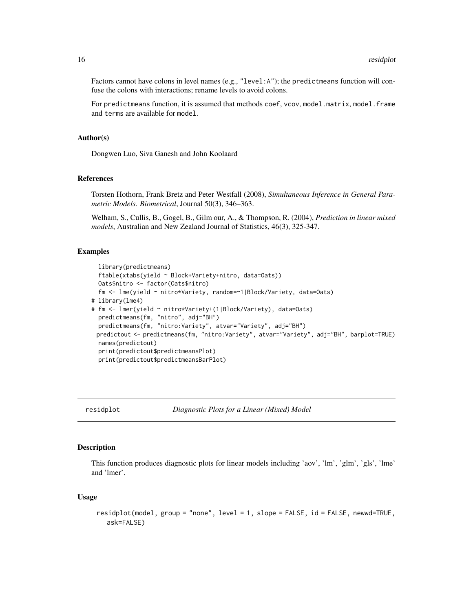<span id="page-15-0"></span>Factors cannot have colons in level names (e.g., "level:A"); the predictmeans function will confuse the colons with interactions; rename levels to avoid colons.

For predictmeans function, it is assumed that methods coef, vcov, model.matrix, model.frame and terms are available for model.

#### Author(s)

Dongwen Luo, Siva Ganesh and John Koolaard

#### References

Torsten Hothorn, Frank Bretz and Peter Westfall (2008), *Simultaneous Inference in General Parametric Models. Biometrical*, Journal 50(3), 346–363.

Welham, S., Cullis, B., Gogel, B., Gilm our, A., & Thompson, R. (2004), *Prediction in linear mixed models*, Australian and New Zealand Journal of Statistics, 46(3), 325-347.

## **Examples**

```
library(predictmeans)
 ftable(xtabs(yield ~ Block+Variety+nitro, data=Oats))
 Oats$nitro <- factor(Oats$nitro)
 fm <- lme(yield ~ nitro*Variety, random=~1|Block/Variety, data=Oats)
# library(lme4)
# fm <- lmer(yield ~ nitro*Variety+(1|Block/Variety), data=Oats)
  predictmeans(fm, "nitro", adj="BH")
  predictmeans(fm, "nitro:Variety", atvar="Variety", adj="BH")
 predictout <- predictmeans(fm, "nitro:Variety", atvar="Variety", adj="BH", barplot=TRUE)
 names(predictout)
 print(predictout$predictmeansPlot)
 print(predictout$predictmeansBarPlot)
```
residplot *Diagnostic Plots for a Linear (Mixed) Model*

### Description

This function produces diagnostic plots for linear models including 'aov', 'lm', 'glm', 'gls', 'lme' and 'lmer'.

#### Usage

```
residplot(model, group = "none", level = 1, slope = FALSE, id = FALSE, newwd=TRUE,
  ask=FALSE)
```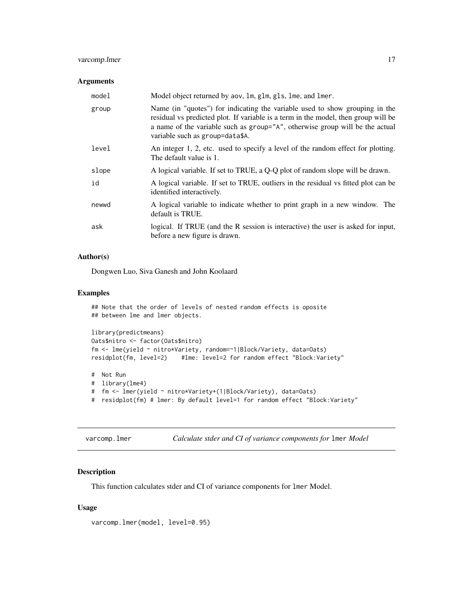## <span id="page-16-0"></span>varcomp.lmer 17

## Arguments

| model | Model object returned by aov, 1m, g1m, g1s, 1me, and 1mer.                                                                                                                                                                                                                           |
|-------|--------------------------------------------------------------------------------------------------------------------------------------------------------------------------------------------------------------------------------------------------------------------------------------|
| group | Name (in "quotes") for indicating the variable used to show grouping in the<br>residual vs predicted plot. If variable is a term in the model, then group will be<br>a name of the variable such as group="A", otherwise group will be the actual<br>variable such as group=data\$A. |
| level | An integer 1, 2, etc. used to specify a level of the random effect for plotting.<br>The default value is 1.                                                                                                                                                                          |
| slope | A logical variable. If set to TRUE, a Q-Q plot of random slope will be drawn.                                                                                                                                                                                                        |
| id    | A logical variable. If set to TRUE, outliers in the residual vs fitted plot can be<br>identified interactively.                                                                                                                                                                      |
| newwd | A logical variable to indicate whether to print graph in a new window. The<br>default is TRUE.                                                                                                                                                                                       |
| ask   | logical. If TRUE (and the R session is interactive) the user is asked for input,<br>before a new figure is drawn.                                                                                                                                                                    |

### Author(s)

Dongwen Luo, Siva Ganesh and John Koolaard

## Examples

```
## Note that the order of levels of nested random effects is oposite
## between lme and lmer objects.
library(predictmeans)
Oats$nitro <- factor(Oats$nitro)
fm <- lme(yield ~ nitro*Variety, random=~1|Block/Variety, data=Oats)
residplot(fm, level=2) #lme: level=2 for random effect "Block:Variety"
# Not Run
# library(lme4)
```
# fm <- lmer(yield ~ nitro\*Variety+(1|Block/Variety), data=Oats)

# residplot(fm) # lmer: By default level=1 for random effect "Block:Variety"

| varcomp.lmer | Calculate stder and CI of variance components for 1mer Model |  |  |  |
|--------------|--------------------------------------------------------------|--|--|--|
|--------------|--------------------------------------------------------------|--|--|--|

## Description

This function calculates stder and CI of variance components for lmer Model.

## Usage

varcomp.lmer(model, level=0.95)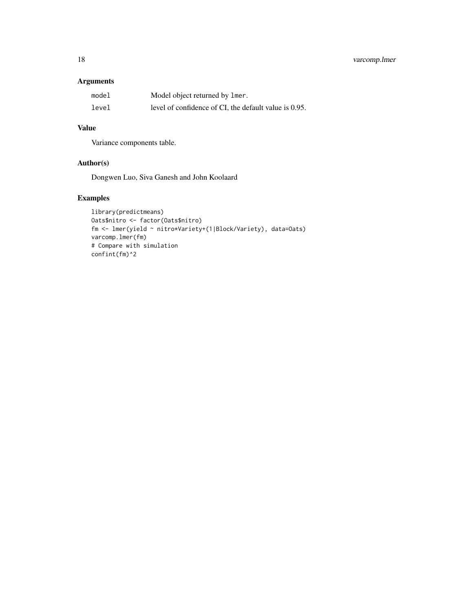## 18 varcomp.lmer

## Arguments

| model | Model object returned by lmer.                        |
|-------|-------------------------------------------------------|
| level | level of confidence of CI, the default value is 0.95. |

## Value

Variance components table.

## Author(s)

Dongwen Luo, Siva Ganesh and John Koolaard

## Examples

```
library(predictmeans)
Oats$nitro <- factor(Oats$nitro)
fm <- lmer(yield ~ nitro*Variety+(1|Block/Variety), data=Oats)
varcomp.lmer(fm)
# Compare with simulation
confint(fm)^2
```